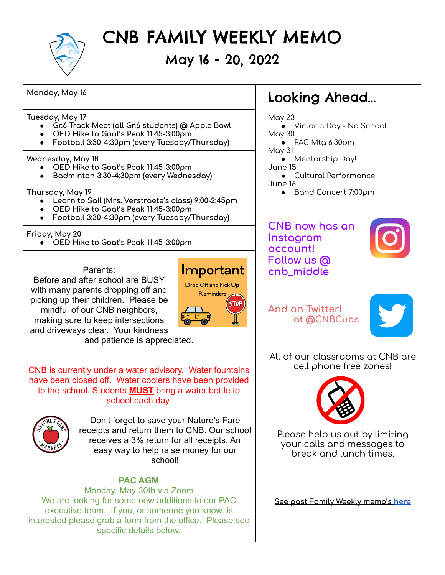

# CNB FAMILY WEEKLY MEMO

May 16 - 20, 2022

Important Drop Off and Pick Up Reminders

**Monday, May 16**

**Tuesday, May 17**

- **● Gr.6 Track Meet (all Gr.6 students) @ Apple Bowl**
- **● OED Hike to Goat's Peak 11:45-3:00pm**
- **● Football 3:30-4:30pm (every Tuesday/Thursday)**

#### **Wednesday, May 18**

- **● OED Hike to Goat's Peak 11:45-3:00pm**
- **● Badminton 3:30-4:30pm (every Wednesday)**

#### **Thursday, May 19**

- **● Learn to Sail (Mrs. Verstraete's class) 9:00-2:45pm**
- **● OED Hike to Goat's Peak 11:45-3:00pm**
- **● Football 3:30-4:30pm (every Tuesday/Thursday)**

### **Friday, May 20**

**● OED Hike to Goat's Peak 11:45-3:00pm**

#### Parents:

Before and after school are BUSY with many parents dropping off and picking up their children. Please be mindful of our CNB neighbors, making sure to keep intersections and driveways clear. Your kindness

and patience is appreciated.

CNB is currently under a water advisory. Water fountains have been closed off. Water coolers have been provided to the school. Students **MUST** bring a water bottle to school each day.



Don't forget to save your Nature's Fare receipts and return them to CNB. Our school receives a 3% return for all receipts. An easy way to help raise money for our school!

## **PAC AGM**

Monday, May 30th via Zoom We are looking for some new additions to our PAC executive team. If you, or someone you know, is interested please grab a form from the office. Please see specific details below.

# Looking Ahead...

May 23

- Victoria Day No School May 30
- PAC Mtg 6:30pm
- May 31
- Mentorship Day! June 15
- Cultural Performance June 16
	- Band Concert 7:00pm

## **CNB now has an Instagram account! Follow us @ cnb\_middle**



# **And on Twitter! at @CNBCubs**



All of our classrooms at CNB are cell phone free zones!



Please help us out by limiting your calls and messages to break and lunch times.

**See past Family Weekly memo's [here](http://www.cnb.sd23.bc.ca/Parents/familyweeklymemo/Pages/default.aspx#/=)**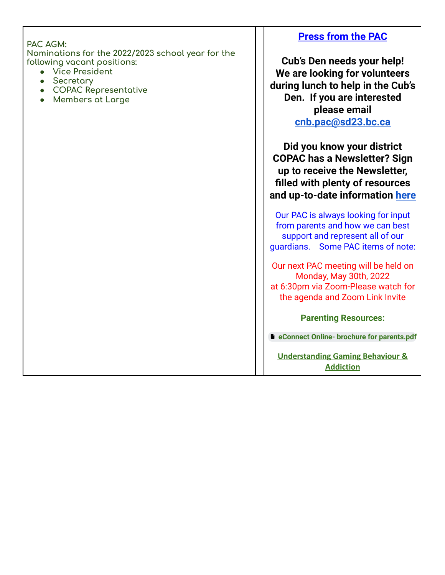| PAC AGM:<br>Nominations for the 2022/2023 school year for the<br>following vacant positions:<br><b>Vice President</b><br>$\bullet$<br>Secretary<br><b>COPAC Representative</b><br><b>Members at Large</b> | <b>Press from the PAC</b><br>Cub's Den needs your help!<br>We are looking for volunteers<br>during lunch to help in the Cub's<br>Den. If you are interested<br>please email                    |
|-----------------------------------------------------------------------------------------------------------------------------------------------------------------------------------------------------------|------------------------------------------------------------------------------------------------------------------------------------------------------------------------------------------------|
|                                                                                                                                                                                                           | cnb.pac@sd23.bc.ca<br>Did you know your district<br><b>COPAC has a Newsletter? Sign</b><br>up to receive the Newsletter,<br>filled with plenty of resources<br>and up-to-date information here |
|                                                                                                                                                                                                           | Our PAC is always looking for input<br>from parents and how we can best<br>support and represent all of our<br>guardians. Some PAC items of note:                                              |
|                                                                                                                                                                                                           | Our next PAC meeting will be held on<br>Monday, May 30th, 2022<br>at 6:30pm via Zoom-Please watch for<br>the agenda and Zoom Link Invite                                                       |
|                                                                                                                                                                                                           | <b>Parenting Resources:</b>                                                                                                                                                                    |
|                                                                                                                                                                                                           | <b>D</b> eConnect Online- brochure for parents.pdf                                                                                                                                             |
|                                                                                                                                                                                                           | <b>Understanding Gaming Behaviour &amp;</b><br><b>Addiction</b>                                                                                                                                |